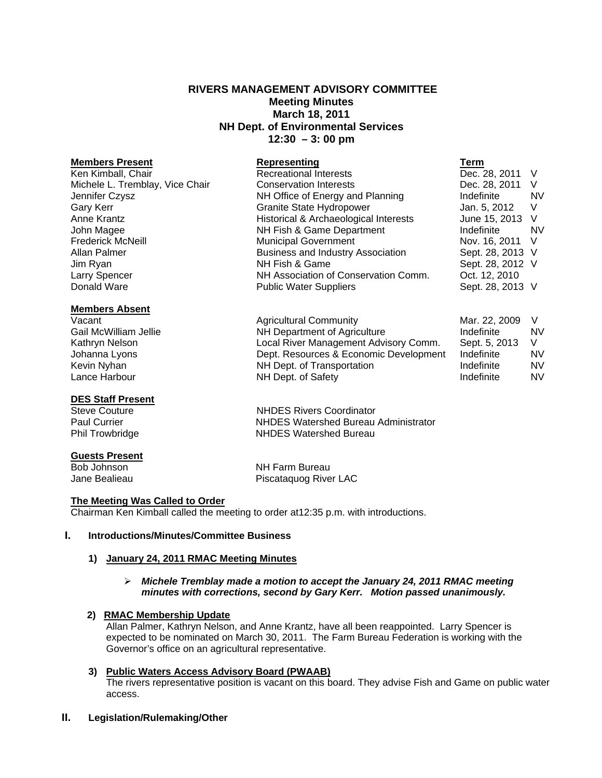# **RIVERS MANAGEMENT ADVISORY COMMITTEE Meeting Minutes March 18, 2011 NH Dept. of Environmental Services 12:30 – 3: 00 pm**

## **Members Absent**

## **DES Staff Present**

# **Guests Present**

Bob Johnson NH Farm Bureau Jane Bealieau **Piscataquog River LAC** 

# **The Meeting Was Called to Order**

Chairman Ken Kimball called the meeting to order at12:35 p.m. with introductions.

## **I. Introductions/Minutes/Committee Business**

## **1) January 24, 2011 RMAC Meeting Minutes**

## *Michele Tremblay made a motion to accept the January 24, 2011 RMAC meeting minutes with corrections, second by Gary Kerr. Motion passed unanimously.*

## **2) RMAC Membership Update**

Allan Palmer, Kathryn Nelson, and Anne Krantz, have all been reappointed. Larry Spencer is expected to be nominated on March 30, 2011. The Farm Bureau Federation is working with the Governor's office on an agricultural representative.

# **3) Public Waters Access Advisory Board (PWAAB)**

The rivers representative position is vacant on this board. They advise Fish and Game on public water access.

## **II. Legislation/Rulemaking/Other**

**Members Present Representing Term** Ken Kimball, Chair **Recreational Interests** Dec. 28, 2011 V Michele L. Tremblay, Vice Chair Conservation Interests Dec. 28, 2011 V Jennifer Czysz NH Office of Energy and Planning Indefinite NV Gary Kerr **Granite State Hydropower** Granite State Hydropower Jan. 5, 2012 V Anne Krantz **Historical & Archaeological Interests** June 15, 2013 V John Magee NH Fish & Game Department Indefinite NV Frederick McNeill **Municipal Government** Nov. 16, 2011 V Allan Palmer **Business and Industry Association** Sept. 28, 2013 V Jim Ryan NH Fish & Game Sept. 28, 2012 V Larry Spencer NH Association of Conservation Comm. Oct. 12, 2010 Donald Ware **Network** Public Water Suppliers **Sept. 28, 2013** V

Vacant **Agricultural Community** Mar. 22, 2009 V V Gail McWilliam Jellie **Number 19 Number 10 Number 10 Number 2016** Number 2016 Kathryn Nelson **Local River Management Advisory Comm.** Sept. 5, 2013 V Johanna Lyons Dept. Resources & Economic Development Indefinite NV Kevin Nyhan **NH Dept.** of Transportation **NH Dept.** of Transportation **Indefinite** NV Lance Harbour **NH Dept. of Safety** Indefinite NV

Steve Couture **NHDES** Rivers Coordinator Paul Currier NHDES Watershed Bureau Administrator Phil Trowbridge NHDES Watershed Bureau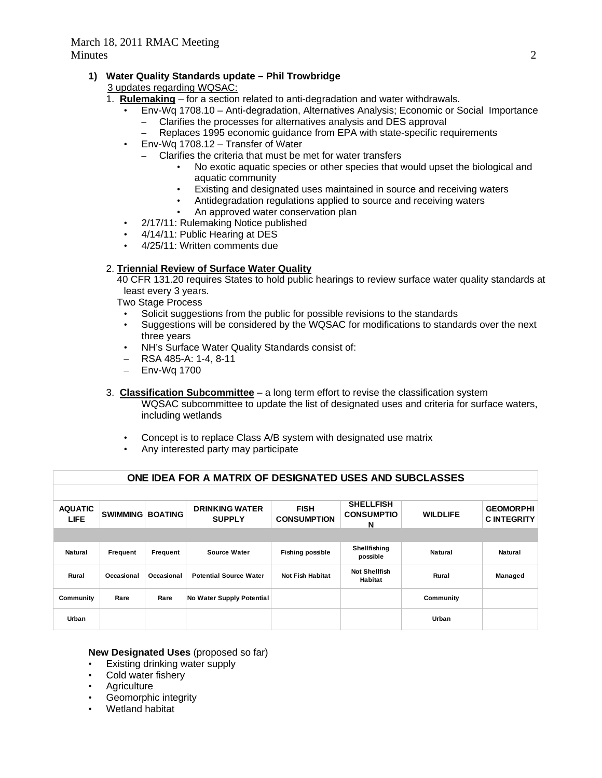# **1) Water Quality Standards update – Phil Trowbridge**

3 updates regarding WQSAC:

- 1. **Rulemaking** for a section related to anti-degradation and water withdrawals.
	- Env-Wq 1708.10 Anti-degradation, Alternatives Analysis; Economic or Social Importance – Clarifies the processes for alternatives analysis and DES approval
		- Replaces 1995 economic guidance from EPA with state-specific requirements
	- Env-Wq 1708.12 Transfer of Water
		- Clarifies the criteria that must be met for water transfers
			- No exotic aquatic species or other species that would upset the biological and aquatic community
			- Existing and designated uses maintained in source and receiving waters
			- Antidegradation regulations applied to source and receiving waters
			- An approved water conservation plan
	- 2/17/11: Rulemaking Notice published
	- 4/14/11: Public Hearing at DES
	- 4/25/11: Written comments due

# 2. **Triennial Review of Surface Water Quality**

 40 CFR 131.20 requires States to hold public hearings to review surface water quality standards at least every 3 years.

Two Stage Process

- Solicit suggestions from the public for possible revisions to the standards
- Suggestions will be considered by the WQSAC for modifications to standards over the next three years
- NH's Surface Water Quality Standards consist of:
- RSA 485-A: 1-4, 8-11
- Env-Wq 1700
- 3. **Classification Subcommittee** a long term effort to revise the classification system WQSAC subcommittee to update the list of designated uses and criteria for surface waters, including wetlands
	- Concept is to replace Class A/B system with designated use matrix
	- Any interested party may participate

| ONE IDEA FOR A MATRIX OF DESIGNATED USES AND SUBCLASSES |                 |                |                                        |                                   |                                            |                 |                                       |
|---------------------------------------------------------|-----------------|----------------|----------------------------------------|-----------------------------------|--------------------------------------------|-----------------|---------------------------------------|
|                                                         |                 |                |                                        |                                   |                                            |                 |                                       |
| <b>AQUATIC</b><br><b>LIFE</b>                           | <b>SWIMMING</b> | <b>BOATING</b> | <b>DRINKING WATER</b><br><b>SUPPLY</b> | <b>FISH</b><br><b>CONSUMPTION</b> | <b>SHELLFISH</b><br><b>CONSUMPTIO</b><br>N | <b>WILDLIFE</b> | <b>GEOMORPHI</b><br><b>CINTEGRITY</b> |
|                                                         |                 |                |                                        |                                   |                                            |                 |                                       |
| <b>Natural</b>                                          | Frequent        | Frequent       | <b>Source Water</b>                    | <b>Fishing possible</b>           | Shellfishing<br>possible                   | Natural         | <b>Natural</b>                        |
| Rural                                                   | Occasional      | Occasional     | <b>Potential Source Water</b>          | <b>Not Fish Habitat</b>           | <b>Not Shellfish</b><br>Habitat            | Rural           | Managed                               |
| Community                                               | Rare            | Rare           | No Water Supply Potential              |                                   |                                            | Community       |                                       |
| Urban                                                   |                 |                |                                        |                                   |                                            | Urban           |                                       |

# **New Designated Uses** (proposed so far)

- Existing drinking water supply
- Cold water fishery
- **Agriculture**
- Geomorphic integrity
- Wetland habitat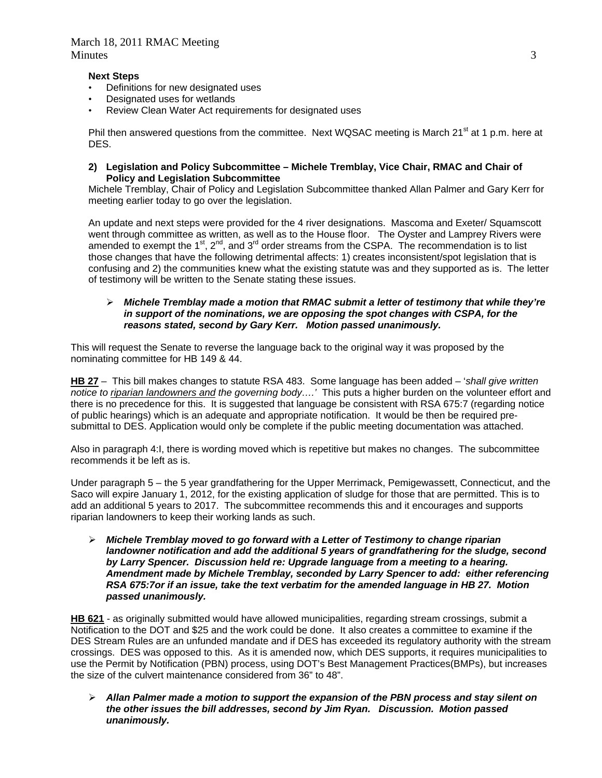## **Next Steps**

- Definitions for new designated uses
- Designated uses for wetlands
- Review Clean Water Act requirements for designated uses

Phil then answered questions from the committee. Next WQSAC meeting is March 21<sup>st</sup> at 1 p.m. here at DES.

**2) Legislation and Policy Subcommittee – Michele Tremblay, Vice Chair, RMAC and Chair of Policy and Legislation Subcommittee** 

Michele Tremblay, Chair of Policy and Legislation Subcommittee thanked Allan Palmer and Gary Kerr for meeting earlier today to go over the legislation.

An update and next steps were provided for the 4 river designations. Mascoma and Exeter/ Squamscott went through committee as written, as well as to the House floor. The Oyster and Lamprey Rivers were amended to exempt the 1<sup>st</sup>, 2<sup>nd</sup>, and 3<sup>rd</sup> order streams from the CSPA. The recommendation is to list those changes that have the following detrimental affects: 1) creates inconsistent/spot legislation that is confusing and 2) the communities knew what the existing statute was and they supported as is. The letter of testimony will be written to the Senate stating these issues.

## *Michele Tremblay made a motion that RMAC submit a letter of testimony that while they're in support of the nominations, we are opposing the spot changes with CSPA, for the reasons stated, second by Gary Kerr. Motion passed unanimously.*

This will request the Senate to reverse the language back to the original way it was proposed by the nominating committee for HB 149 & 44.

**HB 27** – This bill makes changes to statute RSA 483. Some language has been added – '*shall give written notice to riparian landowners and the governing body….'* This puts a higher burden on the volunteer effort and there is no precedence for this. It is suggested that language be consistent with RSA 675:7 (regarding notice of public hearings) which is an adequate and appropriate notification. It would be then be required presubmittal to DES. Application would only be complete if the public meeting documentation was attached.

Also in paragraph 4:I, there is wording moved which is repetitive but makes no changes. The subcommittee recommends it be left as is.

Under paragraph 5 – the 5 year grandfathering for the Upper Merrimack, Pemigewassett, Connecticut, and the Saco will expire January 1, 2012, for the existing application of sludge for those that are permitted. This is to add an additional 5 years to 2017. The subcommittee recommends this and it encourages and supports riparian landowners to keep their working lands as such.

 *Michele Tremblay moved to go forward with a Letter of Testimony to change riparian landowner notification and add the additional 5 years of grandfathering for the sludge, second by Larry Spencer. Discussion held re: Upgrade language from a meeting to a hearing. Amendment made by Michele Tremblay, seconded by Larry Spencer to add: either referencing RSA 675:7or if an issue, take the text verbatim for the amended language in HB 27. Motion passed unanimously.* 

**HB 621** - as originally submitted would have allowed municipalities, regarding stream crossings, submit a Notification to the DOT and \$25 and the work could be done. It also creates a committee to examine if the DES Stream Rules are an unfunded mandate and if DES has exceeded its regulatory authority with the stream crossings. DES was opposed to this. As it is amended now, which DES supports, it requires municipalities to use the Permit by Notification (PBN) process, using DOT's Best Management Practices(BMPs), but increases the size of the culvert maintenance considered from 36" to 48".

 *Allan Palmer made a motion to support the expansion of the PBN process and stay silent on the other issues the bill addresses, second by Jim Ryan. Discussion. Motion passed unanimously.*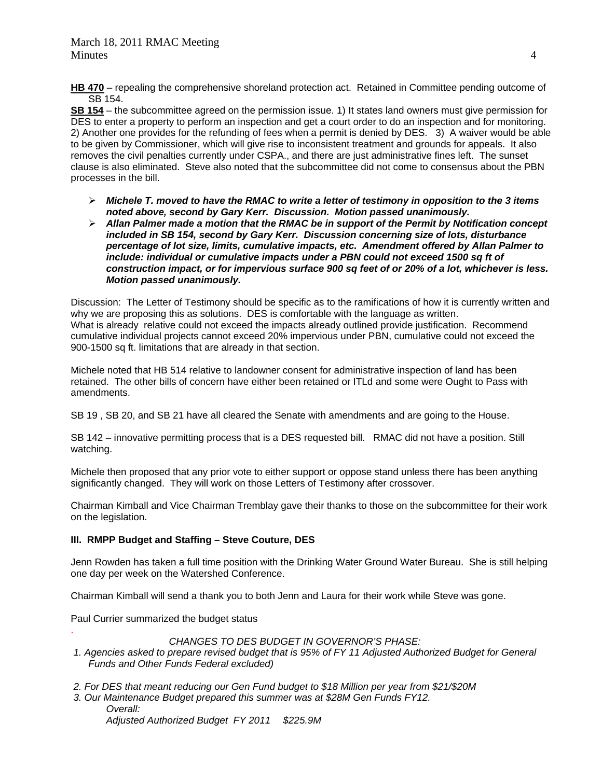**HB 470** – repealing the comprehensive shoreland protection act. Retained in Committee pending outcome of SB 154.

**SB 154** – the subcommittee agreed on the permission issue. 1) It states land owners must give permission for DES to enter a property to perform an inspection and get a court order to do an inspection and for monitoring. 2) Another one provides for the refunding of fees when a permit is denied by DES. 3) A waiver would be able to be given by Commissioner, which will give rise to inconsistent treatment and grounds for appeals.It also removes the civil penalties currently under CSPA., and there are just administrative fines left. The sunset clause is also eliminated. Steve also noted that the subcommittee did not come to consensus about the PBN processes in the bill.

- *Michele T. moved to have the RMAC to write a letter of testimony in opposition to the 3 items noted above, second by Gary Kerr. Discussion. Motion passed unanimously.*
- *Allan Palmer made a motion that the RMAC be in support of the Permit by Notification concept included in SB 154, second by Gary Kerr. Discussion concerning size of lots, disturbance percentage of lot size, limits, cumulative impacts, etc. Amendment offered by Allan Palmer to include: individual or cumulative impacts under a PBN could not exceed 1500 sq ft of construction impact, or for impervious surface 900 sq feet of or 20% of a lot, whichever is less. Motion passed unanimously.*

Discussion: The Letter of Testimony should be specific as to the ramifications of how it is currently written and why we are proposing this as solutions. DES is comfortable with the language as written. What is already relative could not exceed the impacts already outlined provide justification. Recommend cumulative individual projects cannot exceed 20% impervious under PBN, cumulative could not exceed the 900-1500 sq ft. limitations that are already in that section.

Michele noted that HB 514 relative to landowner consent for administrative inspection of land has been retained. The other bills of concern have either been retained or ITLd and some were Ought to Pass with amendments.

SB 19 , SB 20, and SB 21 have all cleared the Senate with amendments and are going to the House.

SB 142 – innovative permitting process that is a DES requested bill. RMAC did not have a position. Still watching.

Michele then proposed that any prior vote to either support or oppose stand unless there has been anything significantly changed. They will work on those Letters of Testimony after crossover.

Chairman Kimball and Vice Chairman Tremblay gave their thanks to those on the subcommittee for their work on the legislation.

# **III. RMPP Budget and Staffing – Steve Couture, DES**

Jenn Rowden has taken a full time position with the Drinking Water Ground Water Bureau. She is still helping one day per week on the Watershed Conference.

Chairman Kimball will send a thank you to both Jenn and Laura for their work while Steve was gone.

Paul Currier summarized the budget status

.

# *CHANGES TO DES BUDGET IN GOVERNOR'S PHASE:*

- *1. Agencies asked to prepare revised budget that is 95% of FY 11 Adjusted Authorized Budget for General Funds and Other Funds Federal excluded)*
- *2. For DES that meant reducing our Gen Fund budget to \$18 Million per year from \$21/\$20M*
- *3. Our Maintenance Budget prepared this summer was at \$28M Gen Funds FY12. Overall: Adjusted Authorized Budget FY 2011 \$225.9M*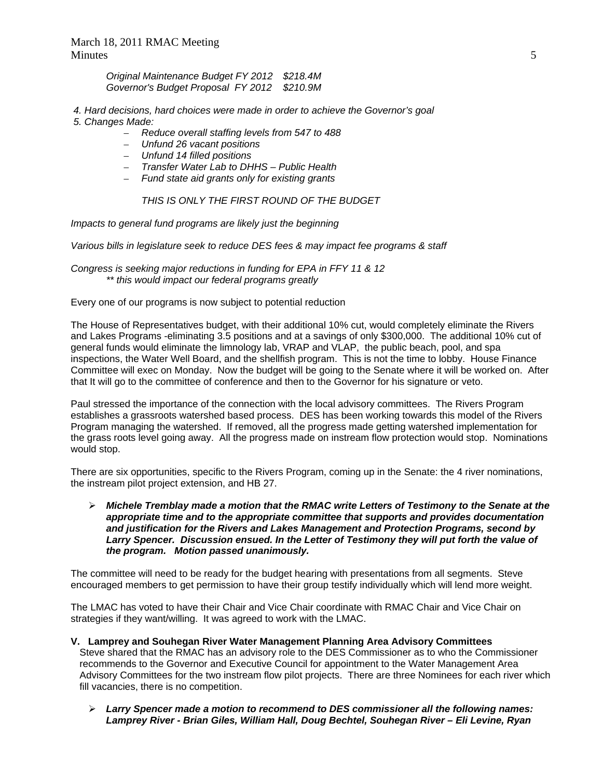*Original Maintenance Budget FY 2012 \$218.4M Governor's Budget Proposal FY 2012 \$210.9M* 

- *4. Hard decisions, hard choices were made in order to achieve the Governor's goal 5. Changes Made:* 
	- *Reduce overall staffing levels from 547 to 488*
	- *Unfund 26 vacant positions*
	- *Unfund 14 filled positions*
	- *Transfer Water Lab to DHHS Public Health*
	- *Fund state aid grants only for existing grants*

 *THIS IS ONLY THE FIRST ROUND OF THE BUDGET* 

*Impacts to general fund programs are likely just the beginning* 

*Various bills in legislature seek to reduce DES fees & may impact fee programs & staff* 

*Congress is seeking major reductions in funding for EPA in FFY 11 & 12 \*\* this would impact our federal programs greatly* 

Every one of our programs is now subject to potential reduction

The House of Representatives budget, with their additional 10% cut, would completely eliminate the Rivers and Lakes Programs -eliminating 3.5 positions and at a savings of only \$300,000. The additional 10% cut of general funds would eliminate the limnology lab, VRAP and VLAP, the public beach, pool, and spa inspections, the Water Well Board, and the shellfish program. This is not the time to lobby. House Finance Committee will exec on Monday. Now the budget will be going to the Senate where it will be worked on. After that It will go to the committee of conference and then to the Governor for his signature or veto.

Paul stressed the importance of the connection with the local advisory committees. The Rivers Program establishes a grassroots watershed based process. DES has been working towards this model of the Rivers Program managing the watershed. If removed, all the progress made getting watershed implementation for the grass roots level going away. All the progress made on instream flow protection would stop. Nominations would stop.

There are six opportunities, specific to the Rivers Program, coming up in the Senate: the 4 river nominations, the instream pilot project extension, and HB 27.

 *Michele Tremblay made a motion that the RMAC write Letters of Testimony to the Senate at the appropriate time and to the appropriate committee that supports and provides documentation and justification for the Rivers and Lakes Management and Protection Programs, second by Larry Spencer. Discussion ensued. In the Letter of Testimony they will put forth the value of the program. Motion passed unanimously.* 

The committee will need to be ready for the budget hearing with presentations from all segments. Steve encouraged members to get permission to have their group testify individually which will lend more weight.

The LMAC has voted to have their Chair and Vice Chair coordinate with RMAC Chair and Vice Chair on strategies if they want/willing. It was agreed to work with the LMAC.

- **V. Lamprey and Souhegan River Water Management Planning Area Advisory Committees**  Steve shared that the RMAC has an advisory role to the DES Commissioner as to who the Commissioner recommends to the Governor and Executive Council for appointment to the Water Management Area Advisory Committees for the two instream flow pilot projects. There are three Nominees for each river which fill vacancies, there is no competition.
	- *Larry Spencer made a motion to recommend to DES commissioner all the following names: Lamprey River - Brian Giles, William Hall, Doug Bechtel, Souhegan River – Eli Levine, Ryan*